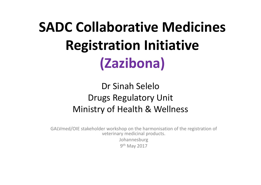### **SADC Collaborative Medicines Registration Initiative (Zazibona)**

#### Dr Sinah SeleloDrugs Regulatory Unit Ministry of Health & Wellness

GALVmed/OIE stakeholder workshop on the harmonisation of the registration of veterinary medicinal products. Johannesburg 9th May 2017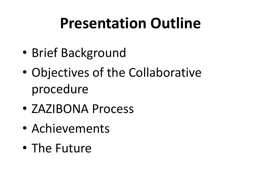### **Presentation Outline**

- $\bullet$ Brief Background
- $\bullet$  Objectives of the Collaborative procedure
- ZAZIBONA Process
- $\bullet$ Achievements
- $\bullet$ • The Future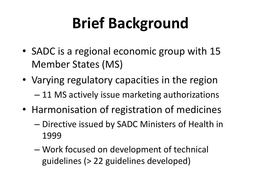## **Brief Background**

- SADC is a regional economic group with 15 Member States (MS)
- Varying regulatory capacities in the region –11 MS actively issue marketing authorizations
- Harmonisation of registration of medicines
	- Charles Construction – Directive issued by SADC Ministers of Health in 1999
	- Charles Construction Work focused on development of technical guidelines (> 22 guidelines developed)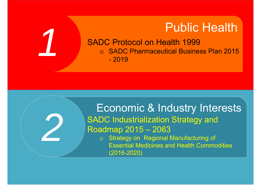#### Public Health

 SADC Protocol on Health 1999 o SADC Pharmaceutical Business Plan 2015 - 2019

# Economic & Industry Interests SADC Industrialization Strategy and<br>Roadmap 2015 – 2063<br>o Strategy on Regional Manufacturing of

*2*

*1*

Essential Medicines and Health Commodities (2016-2020)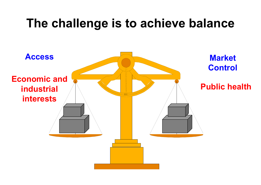#### **The challenge is to achieve balance**

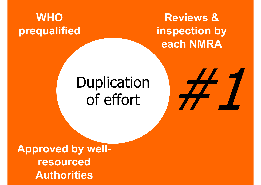#### **WHO prequalified**

**Reviews & inspection by each NMRA**

## Duplication of effort



**Approved by wellresourced Authorities**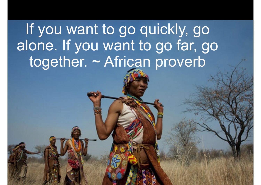### If you want to go quickly, go alone. If you want to go far, go together. ~ African proverb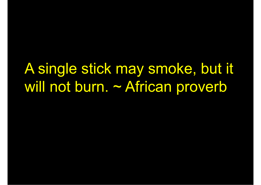### A single stick may smoke, but it will not burn. ~ African proverb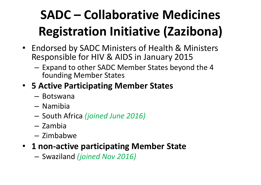### **SADC – Collaborative Medicines Registration Initiative (Zazibona)**

- Endorsed by SADC Ministers of Health & Ministers Responsible for HIV & AIDS in January 2015
	- $-$  Expand to other SADC Member States beyond the 4 founding Member States
- **5 Active Participating Member States**
	- Botswana
	- Namibia
	- South Africa *(joined June 2016)*
	- Zambia
	- Zimbabwe
- **1 non-active participating Member State**
	- –Swaziland *(joined Nov 2016)*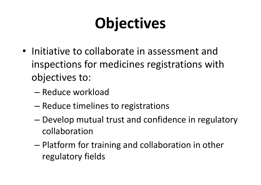## **Objectives**

- Initiative to collaborate in assessment and inspections for medicines registrations with objectives to:
	- Reduce workload
	- –– Reduce timelines to registrations
	- – Develop mutual trust and confidence in regulatory collaboration
	- – Platform for training and collaboration in other regulatory fields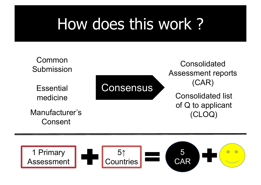## How does this work ?



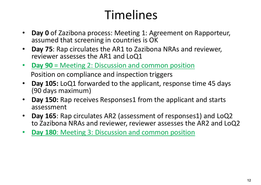#### Timelines

- $\bullet$  **Day 0** of Zazibona process: Meeting 1: Agreement on Rapporteur, assumed that screening in countries is OK
- $\bullet$  **Day 75**: Rap circulates the AR1 to Zazibona NRAs and reviewer, reviewer assesses the AR1 and LoQ1
- $\bullet$  **Day 90** = Meeting 2: Discussion and common position Position on compliance and inspection triggers
- $\bullet$  **Day 105:** LoQ1 forwarded to the applicant, response time 45 days (90 days maximum)
- • **Day 150:** Rap receives Responses1 from the applicant and starts assessment
- • **Day 165**: Rap circulates AR2 (assessment of responses1) and LoQ2 to Zazibona NRAs and reviewer, reviewer assesses the AR2 and LoQ2
- $\bullet$ **Day 180**: Meeting 3: Discussion and common position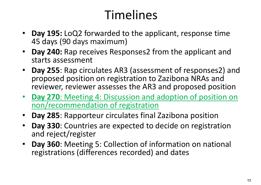#### Timelines

- **Day 195:** LoQ2 forwarded to the applicant, response time 45 days (90 days maximum)
- $\bullet$  **Day 240:** Rap receives Responses2 from the applicant and starts assessment
- **Day 255**: Rap circulates AR3 (assessment of responses2) and proposed position on registration to Zazibona NRAs and reviewer, reviewer assesses the AR3 and proposed position
- **Day 270**: Meeting 4: Discussion and adoption of position on non/recommendation of registration
- $\bullet$ **Day 285**: Rapporteur circulates final Zazibona position
- $\bullet$  **Day 330**: Countries are expected to decide on registration and reject/register
- **Day 360**: Meeting 5: Collection of information on national registrations (differences recorded) and dates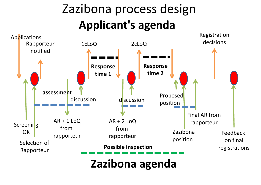#### Zazibona process design **Applicant's agenda**



**Zazibona agenda**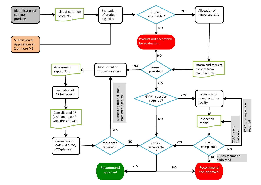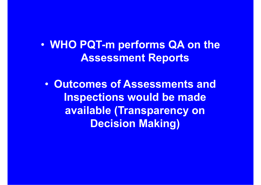$\bullet$  **WHO PQT-m performs QA on the Assessment Reports** 

 $\bullet$  **Outcomes of Assessments and Inspections would be made available (Transparency on Decision Making)**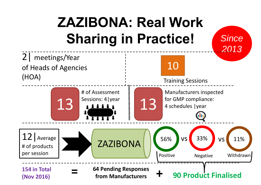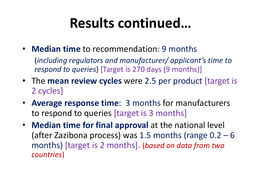#### **Results continued…**

• **Median time** to recommendation: 9 months

(*including regulators and manufacturer/ applicant's time to respond to queries*) [Target is 270 days (9 months)]

- The **mean review cycles** were 2.5 per product [target is 2 cycles]
- **Average response time**: 3 months for manufacturers to respond to queries [target is 3 months]
- **Median time for final approval** at the national level (after Zazibona process) was 1.5 months (range 0.2 – 6 months) [target is 2 months]. (*based on data from two countries* )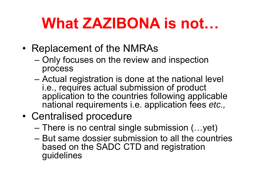### **What ZAZIBONA is not…**

- • Replacement of the NMRAs
	- – Only focuses on the review and inspection process
	- Actual registration is done at the national level i.e., requires actual submission of product application to the countries following applicable national requirements i.e. application fees *etc.,*
- • Centralised procedure
	- –There is no central single submission (…yet)
	- But same dossier submission to all the countries based on the SADC CTD and registration guidelines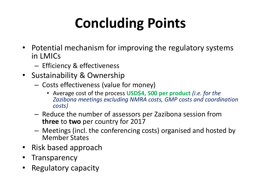## **Concluding Points**

- Potential mechanism for improving the regulatory systems in LMICs
	- – $-$  Efficiency & effectiveness
- Sustainability & Ownership
	- –- Costs effectiveness (value for money)
		- Average cost of the process **USD\$4, 500 per product** *(i.e. for the Zazibona meetings excluding NMRA costs, GMP costs and coordination costs)*
	- – $-$  Reduce the number of assessors per Zazibona session from **three** to **two** per country for 2017
	- – Meetings (incl. the conferencing costs) organised and hosted by Member States
- Risk based approach
- •**Transparency**
- •Regulatory capacity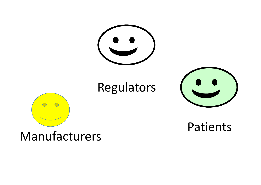![](_page_20_Picture_0.jpeg)

#### Regulators

![](_page_20_Picture_2.jpeg)

![](_page_20_Picture_3.jpeg)

#### Patients

#### Manufacturers